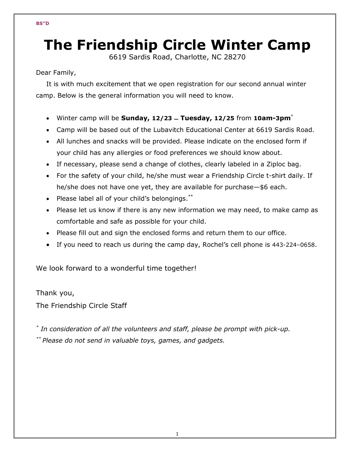# **The Friendship Circle Winter Camp**

6619 Sardis Road, Charlotte, NC 28270

Dear Family,

It is with much excitement that we open registration for our second annual winter camp. Below is the general information you will need to know.

- Winter camp will be **Sunday, 12/23 Tuesday, 12/25** from **10am-3pm**\*
- Camp will be based out of the Lubavitch Educational Center at 6619 Sardis Road.
- All lunches and snacks will be provided. Please indicate on the enclosed form if your child has any allergies or food preferences we should know about.
- If necessary, please send a change of clothes, clearly labeled in a Ziploc bag.
- For the safety of your child, he/she must wear a Friendship Circle t-shirt daily. If he/she does not have one yet, they are available for purchase—\$6 each.
- Please label all of your child's belongings.\*\*
- Please let us know if there is any new information we may need, to make camp as comfortable and safe as possible for your child.
- Please fill out and sign the enclosed forms and return them to our office.
- If you need to reach us during the camp day, Rochel's cell phone is 443-224–0658.

We look forward to a wonderful time together!

Thank you,

The Friendship Circle Staff

*\* In consideration of all the volunteers and staff, please be prompt with pick-up. \*\* Please do not send in valuable toys, games, and gadgets.*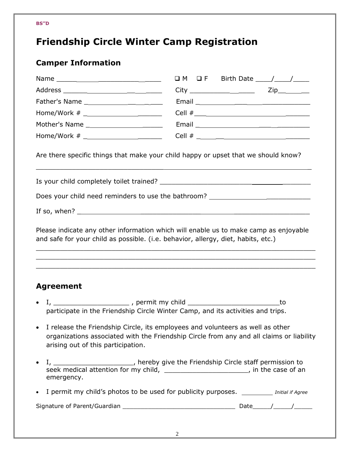## **Friendship Circle Winter Camp Registration**

### **Camper Information**

| Are there specific things that make your child happy or upset that we should know?<br>Does your child need reminders to use the bathroom? ____________________________<br>Please indicate any other information which will enable us to make camp as enjoyable<br>and safe for your child as possible. (i.e. behavior, allergy, diet, habits, etc.)<br><u> 1989 - Johann Stoff, amerikan bestein de stad in de stad in de stad in de stad in de stad in de stad in de st</u><br><b>Agreement</b><br>to<br>participate in the Friendship Circle Winter Camp, and its activities and trips.<br>• I release the Friendship Circle, its employees and volunteers as well as other<br>organizations associated with the Friendship Circle from any and all claims or liability<br>arising out of this participation.<br>I, ________________________, hereby give the Friendship Circle staff permission to seek medical attention for my child, _________________________, in the case of an<br>emergency.<br>• I permit my child's photos to be used for publicity purposes. __________ Initial if Agree |           |  |  |  |  |
|------------------------------------------------------------------------------------------------------------------------------------------------------------------------------------------------------------------------------------------------------------------------------------------------------------------------------------------------------------------------------------------------------------------------------------------------------------------------------------------------------------------------------------------------------------------------------------------------------------------------------------------------------------------------------------------------------------------------------------------------------------------------------------------------------------------------------------------------------------------------------------------------------------------------------------------------------------------------------------------------------------------------------------------------------------------------------------------------------|-----------|--|--|--|--|
|                                                                                                                                                                                                                                                                                                                                                                                                                                                                                                                                                                                                                                                                                                                                                                                                                                                                                                                                                                                                                                                                                                      |           |  |  |  |  |
|                                                                                                                                                                                                                                                                                                                                                                                                                                                                                                                                                                                                                                                                                                                                                                                                                                                                                                                                                                                                                                                                                                      |           |  |  |  |  |
|                                                                                                                                                                                                                                                                                                                                                                                                                                                                                                                                                                                                                                                                                                                                                                                                                                                                                                                                                                                                                                                                                                      |           |  |  |  |  |
|                                                                                                                                                                                                                                                                                                                                                                                                                                                                                                                                                                                                                                                                                                                                                                                                                                                                                                                                                                                                                                                                                                      |           |  |  |  |  |
|                                                                                                                                                                                                                                                                                                                                                                                                                                                                                                                                                                                                                                                                                                                                                                                                                                                                                                                                                                                                                                                                                                      |           |  |  |  |  |
|                                                                                                                                                                                                                                                                                                                                                                                                                                                                                                                                                                                                                                                                                                                                                                                                                                                                                                                                                                                                                                                                                                      |           |  |  |  |  |
|                                                                                                                                                                                                                                                                                                                                                                                                                                                                                                                                                                                                                                                                                                                                                                                                                                                                                                                                                                                                                                                                                                      |           |  |  |  |  |
|                                                                                                                                                                                                                                                                                                                                                                                                                                                                                                                                                                                                                                                                                                                                                                                                                                                                                                                                                                                                                                                                                                      |           |  |  |  |  |
|                                                                                                                                                                                                                                                                                                                                                                                                                                                                                                                                                                                                                                                                                                                                                                                                                                                                                                                                                                                                                                                                                                      |           |  |  |  |  |
|                                                                                                                                                                                                                                                                                                                                                                                                                                                                                                                                                                                                                                                                                                                                                                                                                                                                                                                                                                                                                                                                                                      |           |  |  |  |  |
|                                                                                                                                                                                                                                                                                                                                                                                                                                                                                                                                                                                                                                                                                                                                                                                                                                                                                                                                                                                                                                                                                                      | $\bullet$ |  |  |  |  |
|                                                                                                                                                                                                                                                                                                                                                                                                                                                                                                                                                                                                                                                                                                                                                                                                                                                                                                                                                                                                                                                                                                      |           |  |  |  |  |
|                                                                                                                                                                                                                                                                                                                                                                                                                                                                                                                                                                                                                                                                                                                                                                                                                                                                                                                                                                                                                                                                                                      | $\bullet$ |  |  |  |  |
|                                                                                                                                                                                                                                                                                                                                                                                                                                                                                                                                                                                                                                                                                                                                                                                                                                                                                                                                                                                                                                                                                                      |           |  |  |  |  |
|                                                                                                                                                                                                                                                                                                                                                                                                                                                                                                                                                                                                                                                                                                                                                                                                                                                                                                                                                                                                                                                                                                      |           |  |  |  |  |